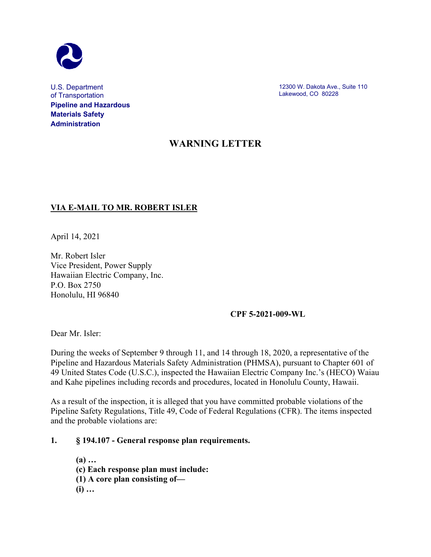

U.S. Department of Transportation **Pipeline and Hazardous Materials Safety Administration**

12300 W. Dakota Ave., Suite 110 Lakewood, CO 80228

# **WARNING LETTER**

# **VIA E-MAIL TO MR. ROBERT ISLER**

April 14, 2021

Mr. Robert Isler Vice President, Power Supply Hawaiian Electric Company, Inc. P.O. Box 2750 Honolulu, HI 96840

#### **CPF 5-2021-009-WL**

Dear Mr. Isler:

During the weeks of September 9 through 11, and 14 through 18, 2020, a representative of the Pipeline and Hazardous Materials Safety Administration (PHMSA), pursuant to Chapter 601 of 49 United States Code (U.S.C.), inspected the Hawaiian Electric Company Inc.'s (HECO) Waiau and Kahe pipelines including records and procedures, located in Honolulu County, Hawaii.

As a result of the inspection, it is alleged that you have committed probable violations of the Pipeline Safety Regulations, Title 49, Code of Federal Regulations (CFR). The items inspected and the probable violations are:

**1. § 194.107 - General response plan requirements.**

**(a) … (c) Each response plan must include: (1) A core plan consisting of— (i) …**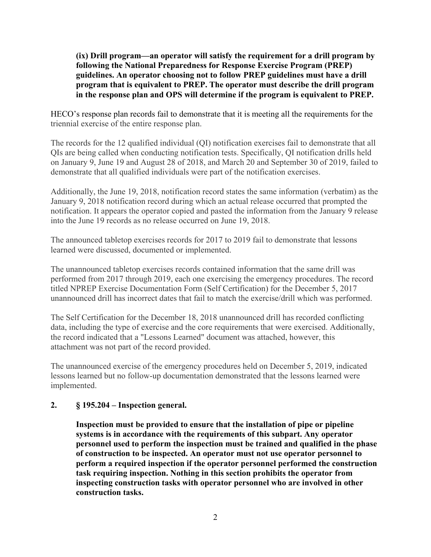**(ix) Drill program—an operator will satisfy the requirement for a drill program by following the National Preparedness for Response Exercise Program (PREP) guidelines. An operator choosing not to follow PREP guidelines must have a drill program that is equivalent to PREP. The operator must describe the drill program in the response plan and OPS will determine if the program is equivalent to PREP.**

HECO's response plan records fail to demonstrate that it is meeting all the requirements for the triennial exercise of the entire response plan.

The records for the 12 qualified individual (QI) notification exercises fail to demonstrate that all QIs are being called when conducting notification tests. Specifically, QI notification drills held on January 9, June 19 and August 28 of 2018, and March 20 and September 30 of 2019, failed to demonstrate that all qualified individuals were part of the notification exercises.

Additionally, the June 19, 2018, notification record states the same information (verbatim) as the January 9, 2018 notification record during which an actual release occurred that prompted the notification. It appears the operator copied and pasted the information from the January 9 release into the June 19 records as no release occurred on June 19, 2018.

The announced tabletop exercises records for 2017 to 2019 fail to demonstrate that lessons learned were discussed, documented or implemented.

The unannounced tabletop exercises records contained information that the same drill was performed from 2017 through 2019, each one exercising the emergency procedures. The record titled NPREP Exercise Documentation Form (Self Certification) for the December 5, 2017 unannounced drill has incorrect dates that fail to match the exercise/drill which was performed.

The Self Certification for the December 18, 2018 unannounced drill has recorded conflicting data, including the type of exercise and the core requirements that were exercised. Additionally, the record indicated that a "Lessons Learned" document was attached, however, this attachment was not part of the record provided.

The unannounced exercise of the emergency procedures held on December 5, 2019, indicated lessons learned but no follow-up documentation demonstrated that the lessons learned were implemented.

#### **2. § 195.204 – Inspection general.**

**Inspection must be provided to ensure that the installation of pipe or pipeline systems is in accordance with the requirements of this subpart. Any operator personnel used to perform the inspection must be trained and qualified in the phase of construction to be inspected. An operator must not use operator personnel to perform a required inspection if the operator personnel performed the construction task requiring inspection. Nothing in this section prohibits the operator from inspecting construction tasks with operator personnel who are involved in other construction tasks.**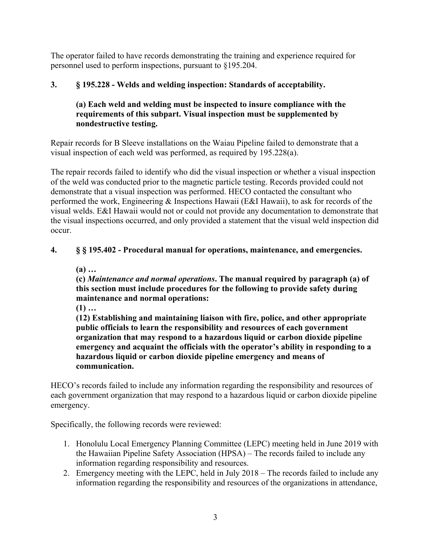The operator failed to have records demonstrating the training and experience required for personnel used to perform inspections, pursuant to §195.204.

# **3. § 195.228 - Welds and welding inspection: Standards of acceptability.**

# **(a) Each weld and welding must be inspected to insure compliance with the requirements of this subpart. Visual inspection must be supplemented by nondestructive testing.**

Repair records for B Sleeve installations on the Waiau Pipeline failed to demonstrate that a visual inspection of each weld was performed, as required by 195.228(a).

The repair records failed to identify who did the visual inspection or whether a visual inspection of the weld was conducted prior to the magnetic particle testing. Records provided could not demonstrate that a visual inspection was performed. HECO contacted the consultant who performed the work, Engineering & Inspections Hawaii (E&I Hawaii), to ask for records of the visual welds. E&I Hawaii would not or could not provide any documentation to demonstrate that the visual inspections occurred, and only provided a statement that the visual weld inspection did occur.

# **4. § § 195.402 - Procedural manual for operations, maintenance, and emergencies.**

**(a) …**

**(c)** *Maintenance and normal operations***. The manual required by paragraph (a) of this section must include procedures for the following to provide safety during maintenance and normal operations:**

**(1) …**

**(12) Establishing and maintaining liaison with fire, police, and other appropriate public officials to learn the responsibility and resources of each government organization that may respond to a hazardous liquid or carbon dioxide pipeline emergency and acquaint the officials with the operator's ability in responding to a hazardous liquid or carbon dioxide pipeline emergency and means of communication.**

HECO's records failed to include any information regarding the responsibility and resources of each government organization that may respond to a hazardous liquid or carbon dioxide pipeline emergency.

Specifically, the following records were reviewed:

- 1. Honolulu Local Emergency Planning Committee (LEPC) meeting held in June 2019 with the Hawaiian Pipeline Safety Association (HPSA) – The records failed to include any information regarding responsibility and resources.
- 2. Emergency meeting with the LEPC, held in July 2018 The records failed to include any information regarding the responsibility and resources of the organizations in attendance,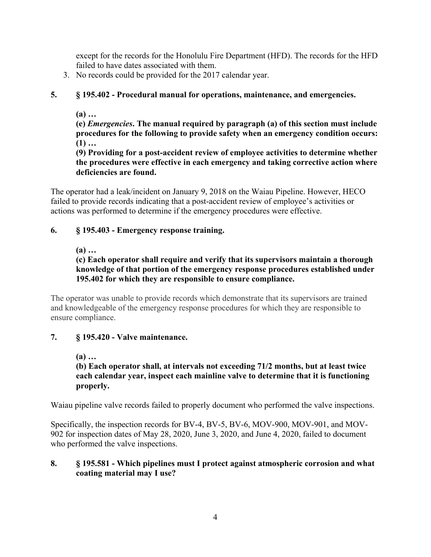except for the records for the Honolulu Fire Department (HFD). The records for the HFD failed to have dates associated with them.

3. No records could be provided for the 2017 calendar year.

# **5. § 195.402 - Procedural manual for operations, maintenance, and emergencies.**

**(a) …**

**(e)** *Emergencies***. The manual required by paragraph (a) of this section must include procedures for the following to provide safety when an emergency condition occurs: (1) …**

**(9) Providing for a post-accident review of employee activities to determine whether the procedures were effective in each emergency and taking corrective action where deficiencies are found.**

The operator had a leak/incident on January 9, 2018 on the Waiau Pipeline. However, HECO failed to provide records indicating that a post-accident review of employee's activities or actions was performed to determine if the emergency procedures were effective.

## **6. § 195.403 - Emergency response training.**

## **(a) …**

**(c) Each operator shall require and verify that its supervisors maintain a thorough knowledge of that portion of the emergency response procedures established under 195.402 for which they are responsible to ensure compliance.**

The operator was unable to provide records which demonstrate that its supervisors are trained and knowledgeable of the emergency response procedures for which they are responsible to ensure compliance.

# **7. § 195.420 - Valve maintenance.**

**(a) …**

## **(b) Each operator shall, at intervals not exceeding 71/2 months, but at least twice each calendar year, inspect each mainline valve to determine that it is functioning properly.**

Waiau pipeline valve records failed to properly document who performed the valve inspections.

Specifically, the inspection records for BV-4, BV-5, BV-6, MOV-900, MOV-901, and MOV-902 for inspection dates of May 28, 2020, June 3, 2020, and June 4, 2020, failed to document who performed the valve inspections.

#### **8. § 195.581 - Which pipelines must I protect against atmospheric corrosion and what coating material may I use?**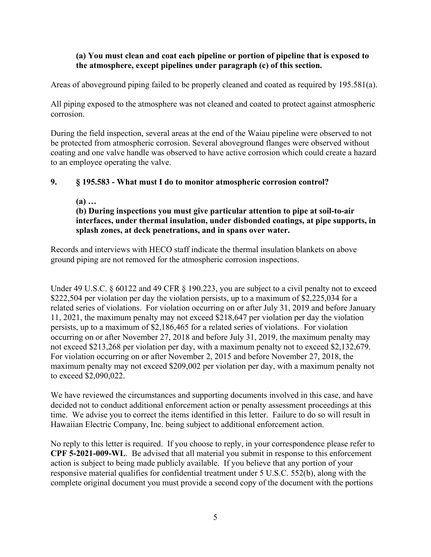#### **(a) You must clean and coat each pipeline or portion of pipeline that is exposed to the atmosphere, except pipelines under paragraph (c) of this section.**

Areas of aboveground piping failed to be properly cleaned and coated as required by 195.581(a).

All piping exposed to the atmosphere was not cleaned and coated to protect against atmospheric corrosion.

During the field inspection, several areas at the end of the Waiau pipeline were observed to not be protected from atmospheric corrosion. Several aboveground flanges were observed without coating and one valve handle was observed to have active corrosion which could create a hazard to an employee operating the valve.

#### **9. § 195.583 - What must I do to monitor atmospheric corrosion control?**

**(a) …**

#### **(b) During inspections you must give particular attention to pipe at soil-to-air interfaces, under thermal insulation, under disbonded coatings, at pipe supports, in splash zones, at deck penetrations, and in spans over water.**

Records and interviews with HECO staff indicate the thermal insulation blankets on above ground piping are not removed for the atmospheric corrosion inspections.

Under 49 U.S.C. § 60122 and 49 CFR § 190.223, you are subject to a civil penalty not to exceed \$222,504 per violation per day the violation persists, up to a maximum of \$2,225,034 for a related series of violations. For violation occurring on or after July 31, 2019 and before January 11, 2021, the maximum penalty may not exceed \$218,647 per violation per day the violation persists, up to a maximum of \$2,186,465 for a related series of violations. For violation occurring on or after November 27, 2018 and before July 31, 2019, the maximum penalty may not exceed \$213,268 per violation per day, with a maximum penalty not to exceed \$2,132,679. For violation occurring on or after November 2, 2015 and before November 27, 2018, the maximum penalty may not exceed \$209,002 per violation per day, with a maximum penalty not to exceed \$2,090,022.

We have reviewed the circumstances and supporting documents involved in this case, and have decided not to conduct additional enforcement action or penalty assessment proceedings at this time. We advise you to correct the items identified in this letter. Failure to do so will result in Hawaiian Electric Company, Inc. being subject to additional enforcement action.

No reply to this letter is required. If you choose to reply, in your correspondence please refer to **CPF 5-2021-009-WL**. Be advised that all material you submit in response to this enforcement action is subject to being made publicly available. If you believe that any portion of your responsive material qualifies for confidential treatment under 5 U.S.C. 552(b), along with the complete original document you must provide a second copy of the document with the portions